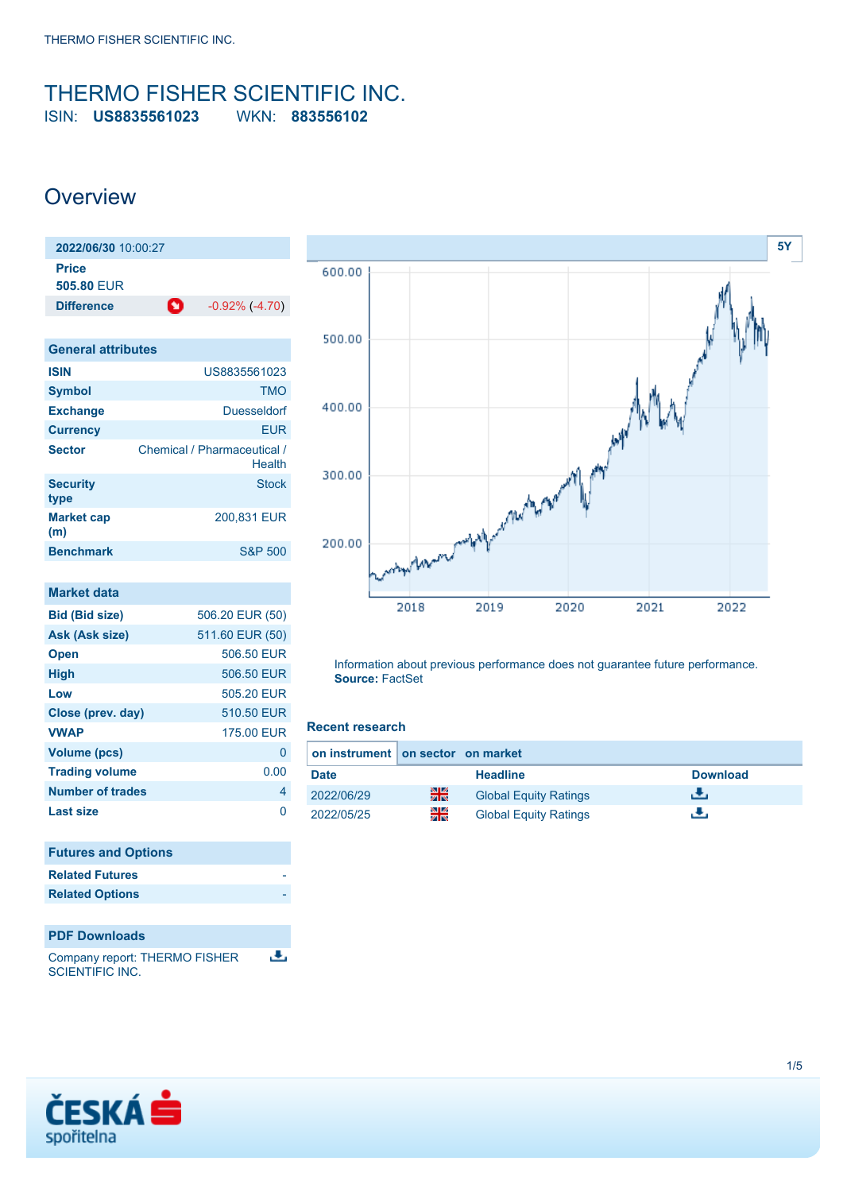### <span id="page-0-0"></span>THERMO FISHER SCIENTIFIC INC. ISIN: **US8835561023** WKN: **883556102**

## **Overview**



| <b>General attributes</b> |                                       |  |  |  |  |
|---------------------------|---------------------------------------|--|--|--|--|
| <b>ISIN</b>               | US8835561023                          |  |  |  |  |
| <b>Symbol</b>             | <b>TMO</b>                            |  |  |  |  |
| <b>Exchange</b>           | <b>Duesseldorf</b>                    |  |  |  |  |
| <b>Currency</b>           | <b>EUR</b>                            |  |  |  |  |
| <b>Sector</b>             | Chemical / Pharmaceutical /<br>Health |  |  |  |  |
| <b>Security</b><br>type   | <b>Stock</b>                          |  |  |  |  |
| <b>Market cap</b><br>(m)  | 200.831 EUR                           |  |  |  |  |
| <b>Benchmark</b>          | <b>S&amp;P 500</b>                    |  |  |  |  |

| Market data             |                 |
|-------------------------|-----------------|
| <b>Bid (Bid size)</b>   | 506.20 EUR (50) |
| Ask (Ask size)          | 511.60 EUR (50) |
| <b>Open</b>             | 506.50 EUR      |
| <b>High</b>             | 506.50 EUR      |
| Low                     | 505.20 EUR      |
| Close (prev. day)       | 510.50 EUR      |
| <b>VWAP</b>             | 175.00 EUR      |
| <b>Volume (pcs)</b>     | 0               |
| <b>Trading volume</b>   | 0.00            |
| <b>Number of trades</b> | 4               |
| Last size               |                 |

| <b>Futures and Options</b> |  |
|----------------------------|--|
| <b>Related Futures</b>     |  |
| <b>Related Options</b>     |  |
|                            |  |

### **PDF Downloads**

ъ. Company report: THERMO FISHER SCIENTIFIC INC.



Information about previous performance does not guarantee future performance. **Source:** FactSet

#### **Recent research**

| on instrument on sector on market |    |                              |                 |
|-----------------------------------|----|------------------------------|-----------------|
| <b>Date</b>                       |    | <b>Headline</b>              | <b>Download</b> |
| 2022/06/29                        | 을중 | <b>Global Equity Ratings</b> | еΨ.             |
| 2022/05/25                        | 읡  | <b>Global Equity Ratings</b> | ٠.              |

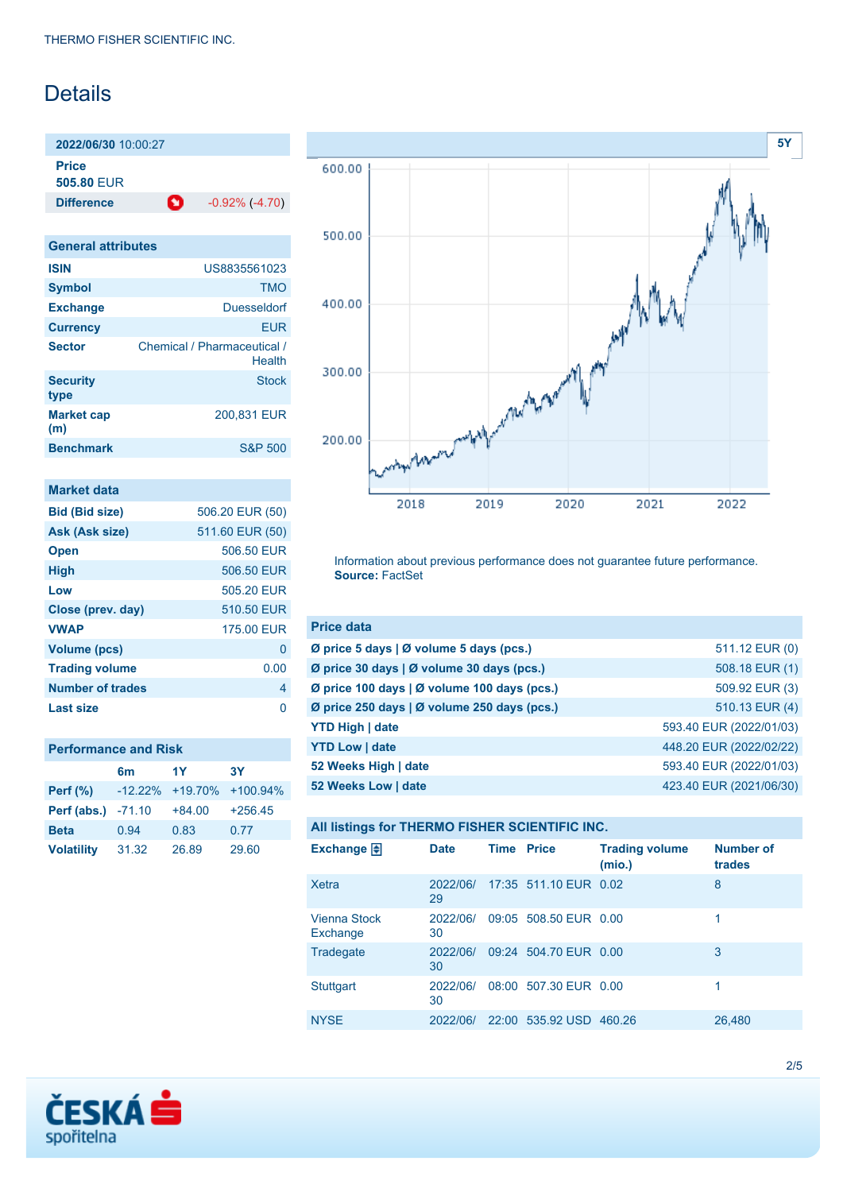# **Details**

**2022/06/30** 10:00:27 **Price 505.80** EUR

**Difference C** -0.92% (-4.70)

| <b>General attributes</b> |                                       |  |  |  |  |
|---------------------------|---------------------------------------|--|--|--|--|
| <b>ISIN</b>               | US8835561023                          |  |  |  |  |
| <b>Symbol</b>             | <b>TMO</b>                            |  |  |  |  |
| <b>Exchange</b>           | Duesseldorf                           |  |  |  |  |
| <b>Currency</b>           | FUR                                   |  |  |  |  |
| <b>Sector</b>             | Chemical / Pharmaceutical /<br>Health |  |  |  |  |
| <b>Security</b><br>type   | Stock                                 |  |  |  |  |
| <b>Market cap</b><br>(m)  | 200,831 EUR                           |  |  |  |  |
| <b>Benchmark</b>          | <b>S&amp;P 500</b>                    |  |  |  |  |

| Market data           |                 |
|-----------------------|-----------------|
| <b>Bid (Bid size)</b> | 506.20 EUR (50) |
| Ask (Ask size)        | 511.60 EUR (50) |
| <b>Open</b>           | 506.50 FUR      |
| <b>High</b>           | 506.50 EUR      |
| Low                   | 505.20 EUR      |
| Close (prev. day)     | 510.50 EUR      |
| <b>VWAP</b>           | 175.00 EUR      |
| <b>Volume (pcs)</b>   | 0               |
| <b>Trading volume</b> | 0.00            |
| Number of trades      | 4               |
| Last size             |                 |

|  | <b>Performance and Risk</b> |  |  |
|--|-----------------------------|--|--|
|--|-----------------------------|--|--|

|                   | 6 <sub>m</sub> | 1Y       | 3Υ                            |
|-------------------|----------------|----------|-------------------------------|
| <b>Perf</b> (%)   |                |          | $-12.22\% +19.70\% +100.94\%$ |
| Perf (abs.)       | $-71.10$       | $+84.00$ | $+256.45$                     |
| <b>Beta</b>       | 0.94           | 0.83     | 0.77                          |
| <b>Volatility</b> | 31.32          | 26.89    | 29.60                         |



Information about previous performance does not guarantee future performance. **Source:** FactSet

| <b>Price data</b>                           |                         |
|---------------------------------------------|-------------------------|
| Ø price 5 days   Ø volume 5 days (pcs.)     | 511.12 EUR (0)          |
| Ø price 30 days   Ø volume 30 days (pcs.)   | 508.18 EUR (1)          |
| Ø price 100 days   Ø volume 100 days (pcs.) | 509.92 EUR (3)          |
| Ø price 250 days   Ø volume 250 days (pcs.) | 510.13 EUR (4)          |
| <b>YTD High   date</b>                      | 593.40 EUR (2022/01/03) |
| <b>YTD Low   date</b>                       | 448.20 EUR (2022/02/22) |
| 52 Weeks High   date                        | 593.40 EUR (2022/01/03) |
| 52 Weeks Low   date                         | 423.40 EUR (2021/06/30) |

| All listings for THERMO FISHER SCIENTIFIC INC. |  |  |  |
|------------------------------------------------|--|--|--|
|------------------------------------------------|--|--|--|

| Exchange $\Box$                 | <b>Date</b>    | <b>Time Price</b> |                         | <b>Trading volume</b><br>(mio.) | <b>Number of</b><br>trades |
|---------------------------------|----------------|-------------------|-------------------------|---------------------------------|----------------------------|
| <b>Xetra</b>                    | 2022/06/<br>29 |                   | 17:35 511.10 EUR 0.02   |                                 | 8                          |
| <b>Vienna Stock</b><br>Exchange | 2022/06/<br>30 |                   | 09:05 508.50 EUR 0.00   |                                 | 1                          |
| Tradegate                       | 2022/06/<br>30 |                   | 09:24 504.70 EUR 0.00   |                                 | 3                          |
| <b>Stuttgart</b>                | 2022/06/<br>30 |                   | 08:00 507.30 EUR 0.00   |                                 | 1                          |
| <b>NYSE</b>                     | 2022/06/       |                   | 22:00 535.92 USD 460.26 |                                 | 26,480                     |

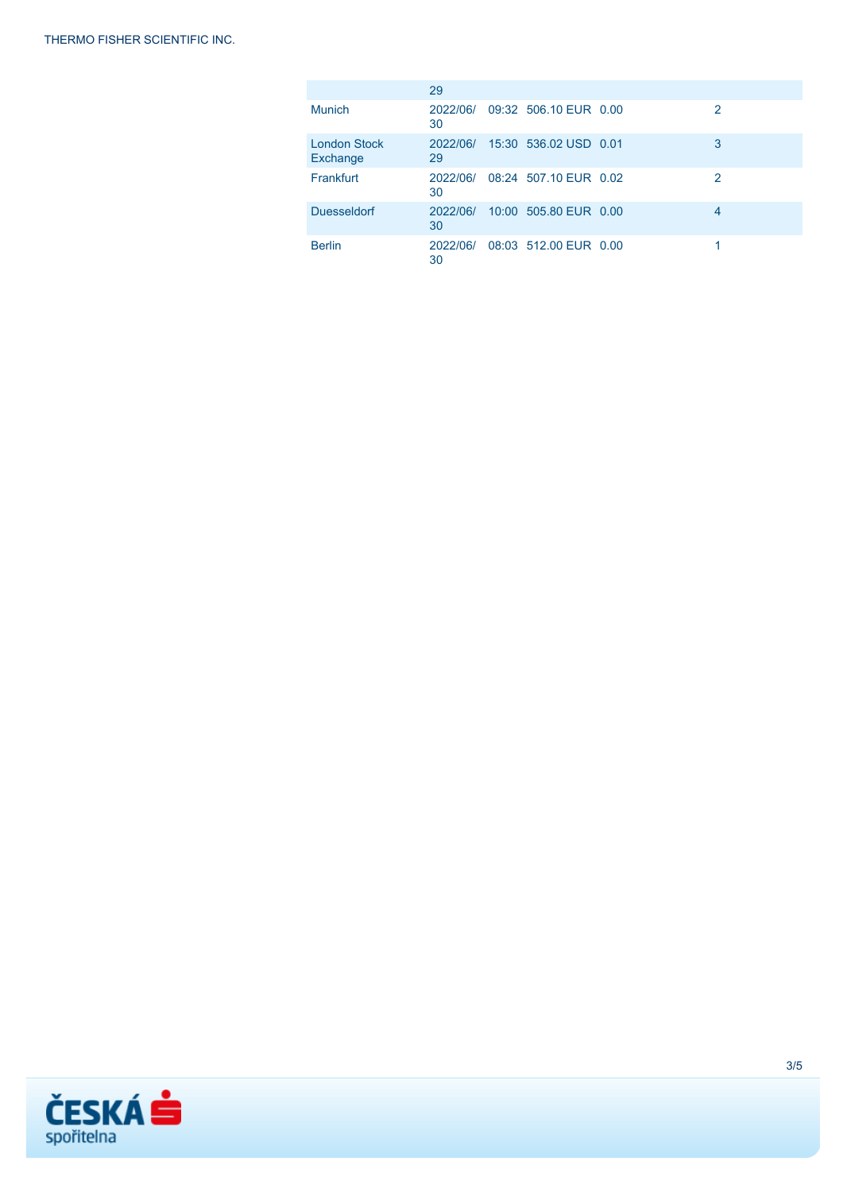|                                 | 29             |                       |   |
|---------------------------------|----------------|-----------------------|---|
| Munich                          | 2022/06/<br>30 | 09:32 506.10 EUR 0.00 | 2 |
| <b>London Stock</b><br>Exchange | 2022/06/<br>29 | 15:30 536.02 USD 0.01 | 3 |
| Frankfurt                       | 2022/06/<br>30 | 08:24 507.10 EUR 0.02 | 2 |
| <b>Duesseldorf</b>              | 2022/06/<br>30 | 10:00 505.80 EUR 0.00 | 4 |
| <b>Berlin</b>                   | 2022/06/<br>30 | 08:03 512.00 EUR 0.00 |   |

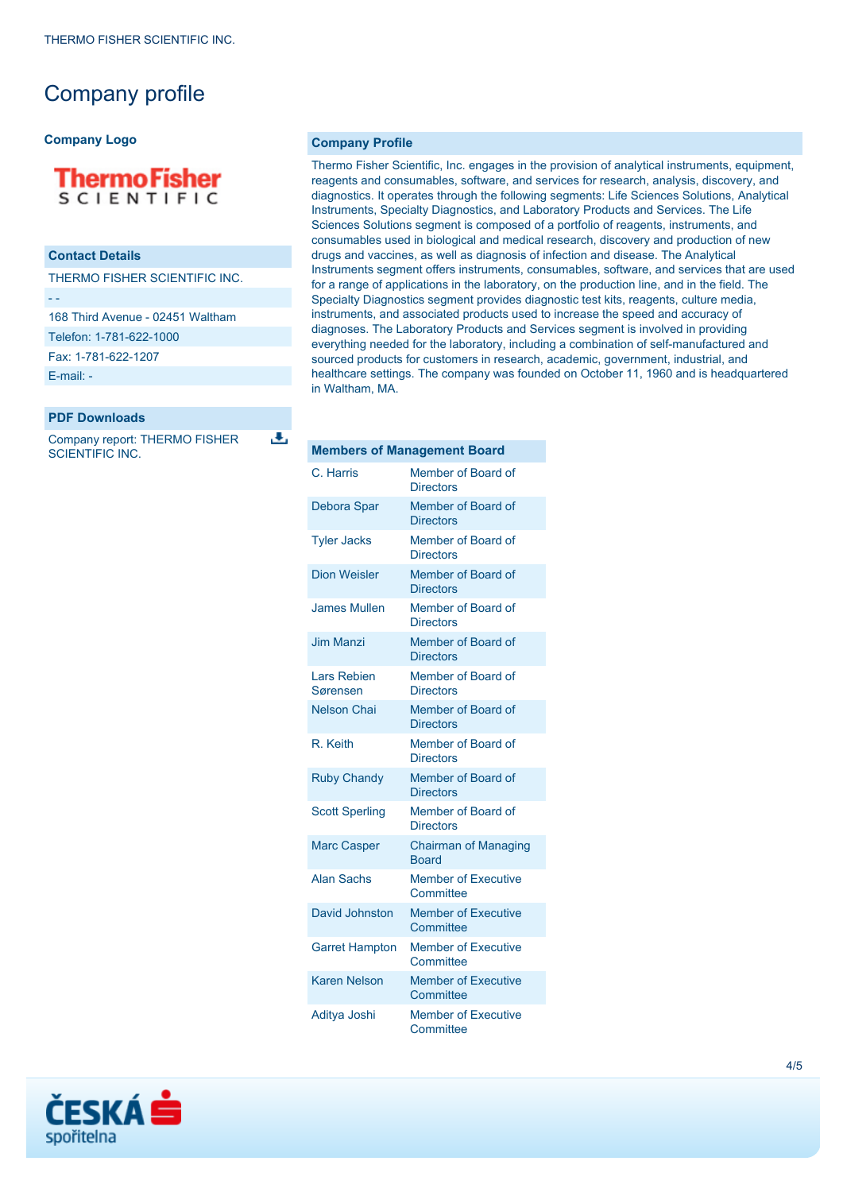# Company profile

#### **Company Logo**

## **ThermoFisher SCIENTIFIC**

### **Contact Details**

THERMO FISHER SCIENTIFIC INC.

- -

168 Third Avenue - 02451 Waltham

Telefon: 1-781-622-1000

Fax: 1-781-622-1207

[E-mail: -](mailto:-)

#### **PDF Downloads**

Company report: THERMO FISHER SCIENTIFIC INC.

J.

**Company Profile**

Thermo Fisher Scientific, Inc. engages in the provision of analytical instruments, equipment, reagents and consumables, software, and services for research, analysis, discovery, and diagnostics. It operates through the following segments: Life Sciences Solutions, Analytical Instruments, Specialty Diagnostics, and Laboratory Products and Services. The Life Sciences Solutions segment is composed of a portfolio of reagents, instruments, and consumables used in biological and medical research, discovery and production of new drugs and vaccines, as well as diagnosis of infection and disease. The Analytical Instruments segment offers instruments, consumables, software, and services that are used for a range of applications in the laboratory, on the production line, and in the field. The Specialty Diagnostics segment provides diagnostic test kits, reagents, culture media, instruments, and associated products used to increase the speed and accuracy of diagnoses. The Laboratory Products and Services segment is involved in providing everything needed for the laboratory, including a combination of self-manufactured and sourced products for customers in research, academic, government, industrial, and healthcare settings. The company was founded on October 11, 1960 and is headquartered in Waltham, MA.

| <b>Members of Management Board</b> |                                             |
|------------------------------------|---------------------------------------------|
| C. Harris                          | Member of Board of<br><b>Directors</b>      |
| <b>Debora Spar</b>                 | Member of Board of<br><b>Directors</b>      |
| <b>Tyler Jacks</b>                 | Member of Board of<br><b>Directors</b>      |
| <b>Dion Weisler</b>                | Member of Board of<br><b>Directors</b>      |
| <b>James Mullen</b>                | Member of Board of<br><b>Directors</b>      |
| <b>Jim Manzi</b>                   | Member of Board of<br><b>Directors</b>      |
| <b>Lars Rebien</b><br>Sørensen     | Member of Board of<br><b>Directors</b>      |
| <b>Nelson Chai</b>                 | Member of Board of<br><b>Directors</b>      |
| R Keith                            | Member of Board of<br><b>Directors</b>      |
| <b>Ruby Chandy</b>                 | Member of Board of<br><b>Directors</b>      |
| <b>Scott Sperling</b>              | Member of Board of<br><b>Directors</b>      |
| <b>Marc Casper</b>                 | <b>Chairman of Managing</b><br><b>Board</b> |
| <b>Alan Sachs</b>                  | <b>Member of Executive</b><br>Committee     |
| David Johnston                     | <b>Member of Executive</b><br>Committee     |
| <b>Garret Hampton</b>              | <b>Member of Executive</b><br>Committee     |
| <b>Karen Nelson</b>                | <b>Member of Executive</b><br>Committee     |
| Aditya Joshi                       | <b>Member of Executive</b><br>Committee     |